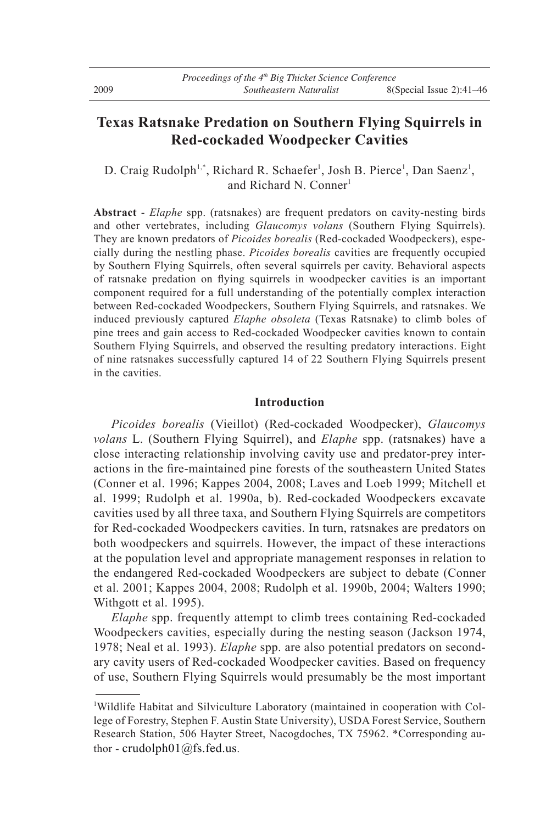# **Texas Ratsnake Predation on Southern Flying Squirrels in Red-cockaded Woodpecker Cavities**

D. Craig Rudolph<sup>1,\*</sup>, Richard R. Schaefer<sup>1</sup>, Josh B. Pierce<sup>1</sup>, Dan Saenz<sup>1</sup>, and Richard N. Conner<sup>1</sup>

**Abstract** - *Elaphe* spp. (ratsnakes) are frequent predators on cavity-nesting birds and other vertebrates, including *Glaucomys volans* (Southern Flying Squirrels). They are known predators of *Picoides borealis* (Red-cockaded Woodpeckers), especially during the nestling phase. *Picoides borealis* cavities are frequently occupied by Southern Flying Squirrels, often several squirrels per cavity. Behavioral aspects of ratsnake predation on flying squirrels in woodpecker cavities is an important component required for a full understanding of the potentially complex interaction between Red-cockaded Woodpeckers, Southern Flying Squirrels, and ratsnakes. We induced previously captured *Elaphe obsoleta* (Texas Ratsnake) to climb boles of pine trees and gain access to Red-cockaded Woodpecker cavities known to contain Southern Flying Squirrels, and observed the resulting predatory interactions. Eight of nine ratsnakes successfully captured 14 of 22 Southern Flying Squirrels present in the cavities.

# **Introduction**

 *Picoides borealis* (Vieillot) (Red-cockaded Woodpecker), *Glaucomys volans* L. (Southern Flying Squirrel), and *Elaphe* spp. (ratsnakes) have a close interacting relationship involving cavity use and predator-prey interactions in the fire-maintained pine forests of the southeastern United States (Conner et al. 1996; Kappes 2004, 2008; Laves and Loeb 1999; Mitchell et al. 1999; Rudolph et al. 1990a, b). Red-cockaded Woodpeckers excavate cavities used by all three taxa, and Southern Flying Squirrels are competitors for Red-cockaded Woodpeckers cavities. In turn, ratsnakes are predators on both woodpeckers and squirrels. However, the impact of these interactions at the population level and appropriate management responses in relation to the endangered Red-cockaded Woodpeckers are subject to debate (Conner et al. 2001; Kappes 2004, 2008; Rudolph et al. 1990b, 2004; Walters 1990; Withgott et al. 1995).

 *Elaphe* spp. frequently attempt to climb trees containing Red-cockaded Woodpeckers cavities, especially during the nesting season (Jackson 1974, 1978; Neal et al. 1993). *Elaphe* spp. are also potential predators on secondary cavity users of Red-cockaded Woodpecker cavities. Based on frequency of use, Southern Flying Squirrels would presumably be the most important

<sup>1</sup> Wildlife Habitat and Silviculture Laboratory (maintained in cooperation with College of Forestry, Stephen F. Austin State University), USDA Forest Service, Southern Research Station, 506 Hayter Street, Nacogdoches, TX 75962. \*Corresponding author - crudolph01@fs.fed.us.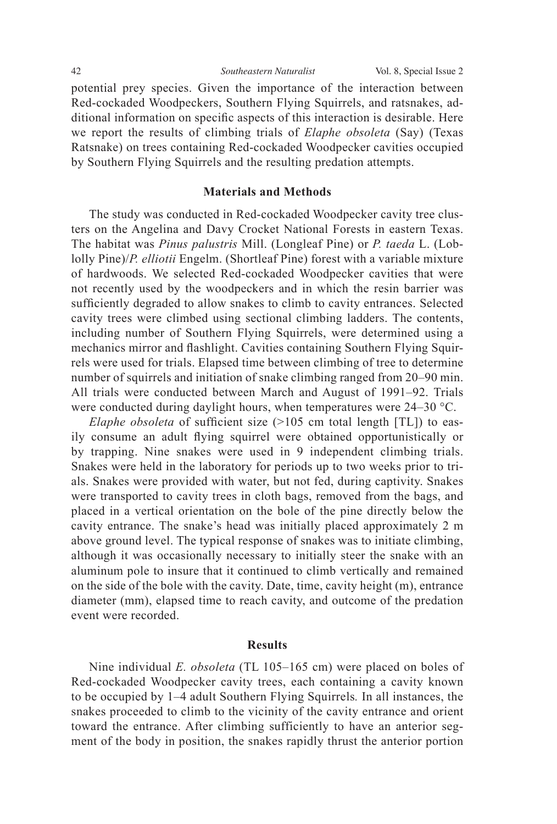potential prey species. Given the importance of the interaction between Red-cockaded Woodpeckers, Southern Flying Squirrels, and ratsnakes, additional information on specific aspects of this interaction is desirable. Here we report the results of climbing trials of *Elaphe obsoleta* (Say) (Texas Ratsnake) on trees containing Red-cockaded Woodpecker cavities occupied by Southern Flying Squirrels and the resulting predation attempts.

## **Materials and Methods**

 The study was conducted in Red-cockaded Woodpecker cavity tree clusters on the Angelina and Davy Crocket National Forests in eastern Texas. The habitat was *Pinus palustris* Mill. (Longleaf Pine) or *P. taeda* L. (Loblolly Pine)/*P. elliotii* Engelm. (Shortleaf Pine) forest with a variable mixture of hardwoods. We selected Red-cockaded Woodpecker cavities that were not recently used by the woodpeckers and in which the resin barrier was sufficiently degraded to allow snakes to climb to cavity entrances. Selected cavity trees were climbed using sectional climbing ladders. The contents, including number of Southern Flying Squirrels, were determined using a mechanics mirror and flashlight. Cavities containing Southern Flying Squirrels were used for trials. Elapsed time between climbing of tree to determine number of squirrels and initiation of snake climbing ranged from 20–90 min. All trials were conducted between March and August of 1991–92. Trials were conducted during daylight hours, when temperatures were 24–30 °C.

*Elaphe obsoleta* of sufficient size (>105 cm total length [TL]) to easily consume an adult flying squirrel were obtained opportunistically or by trapping. Nine snakes were used in 9 independent climbing trials. Snakes were held in the laboratory for periods up to two weeks prior to trials. Snakes were provided with water, but not fed, during captivity. Snakes were transported to cavity trees in cloth bags, removed from the bags, and placed in a vertical orientation on the bole of the pine directly below the cavity entrance. The snake's head was initially placed approximately 2 m above ground level. The typical response of snakes was to initiate climbing, although it was occasionally necessary to initially steer the snake with an aluminum pole to insure that it continued to climb vertically and remained on the side of the bole with the cavity. Date, time, cavity height (m), entrance diameter (mm), elapsed time to reach cavity, and outcome of the predation event were recorded.

### **Results**

 Nine individual *E. obsoleta* (TL 105–165 cm) were placed on boles of Red-cockaded Woodpecker cavity trees, each containing a cavity known to be occupied by 1–4 adult Southern Flying Squirrels*.* In all instances, the snakes proceeded to climb to the vicinity of the cavity entrance and orient toward the entrance. After climbing sufficiently to have an anterior segment of the body in position, the snakes rapidly thrust the anterior portion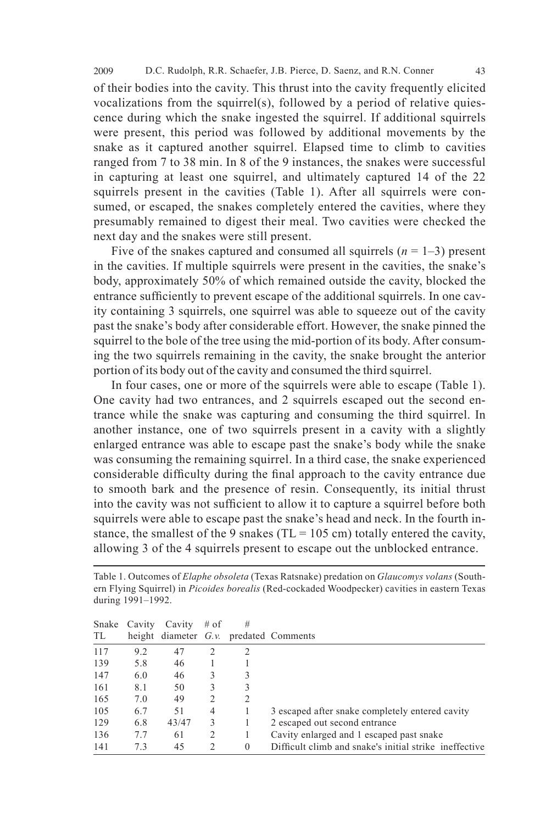of their bodies into the cavity. This thrust into the cavity frequently elicited vocalizations from the squirrel(s), followed by a period of relative quiescence during which the snake ingested the squirrel. If additional squirrels were present, this period was followed by additional movements by the snake as it captured another squirrel. Elapsed time to climb to cavities ranged from 7 to 38 min. In 8 of the 9 instances, the snakes were successful in capturing at least one squirrel, and ultimately captured 14 of the 22 squirrels present in the cavities (Table 1). After all squirrels were consumed, or escaped, the snakes completely entered the cavities, where they presumably remained to digest their meal. Two cavities were checked the next day and the snakes were still present.

Five of the snakes captured and consumed all squirrels  $(n = 1-3)$  present in the cavities. If multiple squirrels were present in the cavities, the snake's body, approximately 50% of which remained outside the cavity, blocked the entrance sufficiently to prevent escape of the additional squirrels. In one cavity containing 3 squirrels, one squirrel was able to squeeze out of the cavity past the snake's body after considerable effort. However, the snake pinned the squirrel to the bole of the tree using the mid-portion of its body. After consuming the two squirrels remaining in the cavity, the snake brought the anterior portion of its body out of the cavity and consumed the third squirrel.

 In four cases, one or more of the squirrels were able to escape (Table 1). One cavity had two entrances, and 2 squirrels escaped out the second entrance while the snake was capturing and consuming the third squirrel. In another instance, one of two squirrels present in a cavity with a slightly enlarged entrance was able to escape past the snake's body while the snake was consuming the remaining squirrel. In a third case, the snake experienced considerable difficulty during the final approach to the cavity entrance due to smooth bark and the presence of resin. Consequently, its initial thrust into the cavity was not sufficient to allow it to capture a squirrel before both squirrels were able to escape past the snake's head and neck. In the fourth instance, the smallest of the 9 snakes (TL = 105 cm) totally entered the cavity, allowing 3 of the 4 squirrels present to escape out the unblocked entrance.

|     | Snake Cavity | Cavity | $#$ of | # |                                                        |
|-----|--------------|--------|--------|---|--------------------------------------------------------|
| TL  |              |        |        |   | height diameter $G.v.$ predated Comments               |
| 117 | 9.2          | 47     | 2      | 2 |                                                        |
| 139 | 5.8          | 46     |        |   |                                                        |
| 147 | 6.0          | 46     |        |   |                                                        |
| 161 | 8.1          | 50     | 3      |   |                                                        |
| 165 | 7.0          | 49     | 2      | 2 |                                                        |
| 105 | 6.7          | 51     | 4      |   | 3 escaped after snake completely entered cavity        |
| 129 | 6.8          | 43/47  | 3      |   | 2 escaped out second entrance                          |
| 136 | 7.7          | 61     |        |   | Cavity enlarged and 1 escaped past snake               |
| 141 | 73           | 45     | 2      | 0 | Difficult climb and snake's initial strike ineffective |

Table 1. Outcomes of *Elaphe obsoleta* (Texas Ratsnake) predation on *Glaucomys volans* (Southern Flying Squirrel) in *Picoides borealis* (Red-cockaded Woodpecker) cavities in eastern Texas during 1991–1992.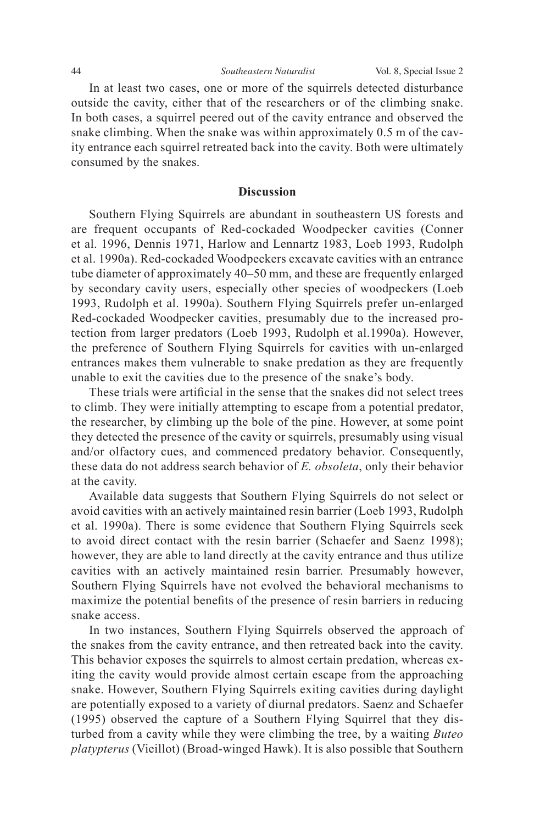In at least two cases, one or more of the squirrels detected disturbance outside the cavity, either that of the researchers or of the climbing snake. In both cases, a squirrel peered out of the cavity entrance and observed the snake climbing. When the snake was within approximately 0.5 m of the cavity entrance each squirrel retreated back into the cavity. Both were ultimately consumed by the snakes.

#### **Discussion**

Southern Flying Squirrels are abundant in southeastern US forests and are frequent occupants of Red-cockaded Woodpecker cavities (Conner et al. 1996, Dennis 1971, Harlow and Lennartz 1983, Loeb 1993, Rudolph et al. 1990a). Red-cockaded Woodpeckers excavate cavities with an entrance tube diameter of approximately 40–50 mm, and these are frequently enlarged by secondary cavity users, especially other species of woodpeckers (Loeb 1993, Rudolph et al. 1990a). Southern Flying Squirrels prefer un-enlarged Red-cockaded Woodpecker cavities, presumably due to the increased protection from larger predators (Loeb 1993, Rudolph et al.1990a). However, the preference of Southern Flying Squirrels for cavities with un-enlarged entrances makes them vulnerable to snake predation as they are frequently unable to exit the cavities due to the presence of the snake's body.

These trials were artificial in the sense that the snakes did not select trees to climb. They were initially attempting to escape from a potential predator, the researcher, by climbing up the bole of the pine. However, at some point they detected the presence of the cavity or squirrels, presumably using visual and/or olfactory cues, and commenced predatory behavior. Consequently, these data do not address search behavior of *E. obsoleta*, only their behavior at the cavity.

 Available data suggests that Southern Flying Squirrels do not select or avoid cavities with an actively maintained resin barrier (Loeb 1993, Rudolph et al. 1990a). There is some evidence that Southern Flying Squirrels seek to avoid direct contact with the resin barrier (Schaefer and Saenz 1998); however, they are able to land directly at the cavity entrance and thus utilize cavities with an actively maintained resin barrier. Presumably however, Southern Flying Squirrels have not evolved the behavioral mechanisms to maximize the potential benefits of the presence of resin barriers in reducing snake access.

 In two instances, Southern Flying Squirrels observed the approach of the snakes from the cavity entrance, and then retreated back into the cavity. This behavior exposes the squirrels to almost certain predation, whereas exiting the cavity would provide almost certain escape from the approaching snake. However, Southern Flying Squirrels exiting cavities during daylight are potentially exposed to a variety of diurnal predators. Saenz and Schaefer (1995) observed the capture of a Southern Flying Squirrel that they disturbed from a cavity while they were climbing the tree, by a waiting *Buteo platypterus* (Vieillot) (Broad-winged Hawk). It is also possible that Southern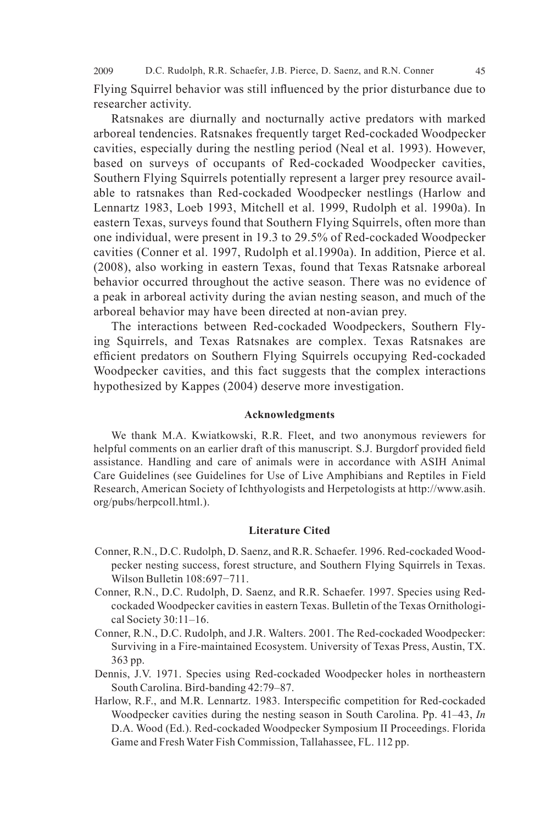2009 D.C. Rudolph, R.R. Schaefer, J.B. Pierce, D. Saenz, and R.N. Conner 45

Flying Squirrel behavior was still influenced by the prior disturbance due to researcher activity.

Ratsnakes are diurnally and nocturnally active predators with marked arboreal tendencies. Ratsnakes frequently target Red-cockaded Woodpecker cavities, especially during the nestling period (Neal et al. 1993). However, based on surveys of occupants of Red-cockaded Woodpecker cavities, Southern Flying Squirrels potentially represent a larger prey resource available to ratsnakes than Red-cockaded Woodpecker nestlings (Harlow and Lennartz 1983, Loeb 1993, Mitchell et al. 1999, Rudolph et al. 1990a). In eastern Texas, surveys found that Southern Flying Squirrels, often more than one individual, were present in 19.3 to 29.5% of Red-cockaded Woodpecker cavities (Conner et al. 1997, Rudolph et al.1990a). In addition, Pierce et al. (2008), also working in eastern Texas, found that Texas Ratsnake arboreal behavior occurred throughout the active season. There was no evidence of a peak in arboreal activity during the avian nesting season, and much of the arboreal behavior may have been directed at non-avian prey.

 The interactions between Red-cockaded Woodpeckers, Southern Flying Squirrels, and Texas Ratsnakes are complex. Texas Ratsnakes are efficient predators on Southern Flying Squirrels occupying Red-cockaded Woodpecker cavities, and this fact suggests that the complex interactions hypothesized by Kappes (2004) deserve more investigation.

### **Acknowledgments**

 We thank M.A. Kwiatkowski, R.R. Fleet, and two anonymous reviewers for helpful comments on an earlier draft of this manuscript. S.J. Burgdorf provided field assistance. Handling and care of animals were in accordance with ASIH Animal Care Guidelines (see Guidelines for Use of Live Amphibians and Reptiles in Field Research, American Society of Ichthyologists and Herpetologists at http://www.asih. org/pubs/herpcoll.html.).

### **Literature Cited**

- Conner, R.N., D.C. Rudolph, D. Saenz, and R.R. Schaefer. 1996. Red-cockaded Woodpecker nesting success, forest structure, and Southern Flying Squirrels in Texas. Wilson Bulletin 108:697-711.
- Conner, R.N., D.C. Rudolph, D. Saenz, and R.R. Schaefer. 1997. Species using Redcockaded Woodpecker cavities in eastern Texas. Bulletin of the Texas Ornithological Society 30:11–16.
- Conner, R.N., D.C. Rudolph, and J.R. Walters. 2001. The Red-cockaded Woodpecker: Surviving in a Fire-maintained Ecosystem. University of Texas Press, Austin, TX. 363 pp.
- Dennis, J.V. 1971. Species using Red-cockaded Woodpecker holes in northeastern South Carolina. Bird-banding 42:79–87.
- Harlow, R.F., and M.R. Lennartz. 1983. Interspecific competition for Red-cockaded Woodpecker cavities during the nesting season in South Carolina. Pp. 41–43, *In* D.A. Wood (Ed.). Red-cockaded Woodpecker Symposium II Proceedings. Florida Game and Fresh Water Fish Commission, Tallahassee, FL. 112 pp.